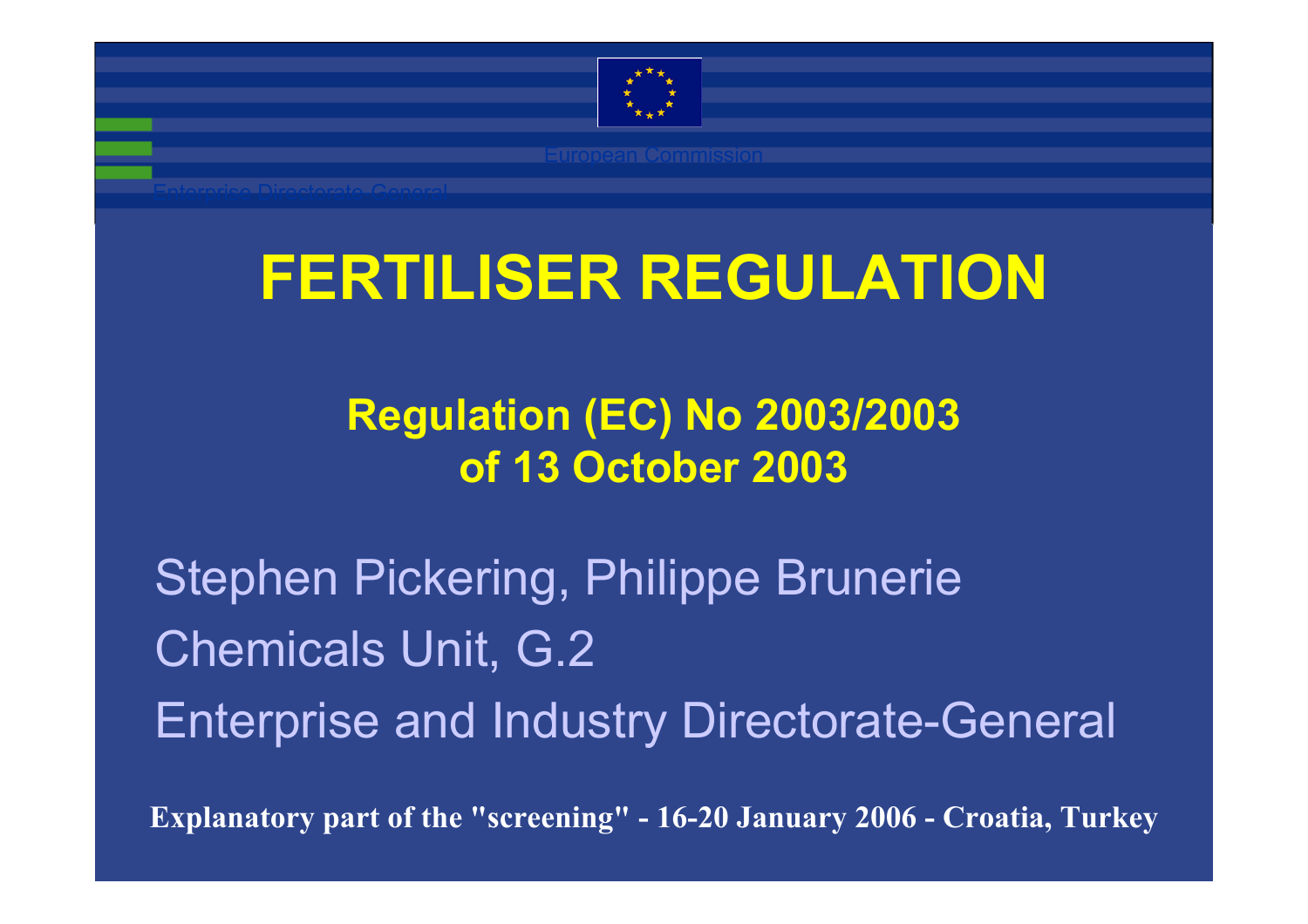

# **FERTILISER REGULATION**

#### **Regulation (EC) No 2003/2003 of 13 October 2003**

Stephen Pickering, Philippe Brunerie Chemicals Unit, G.2 Enterprise and Industry Directorate-General

**Explanatory part of the "screening" - 16-20 January 2006 - Croatia, Turkey**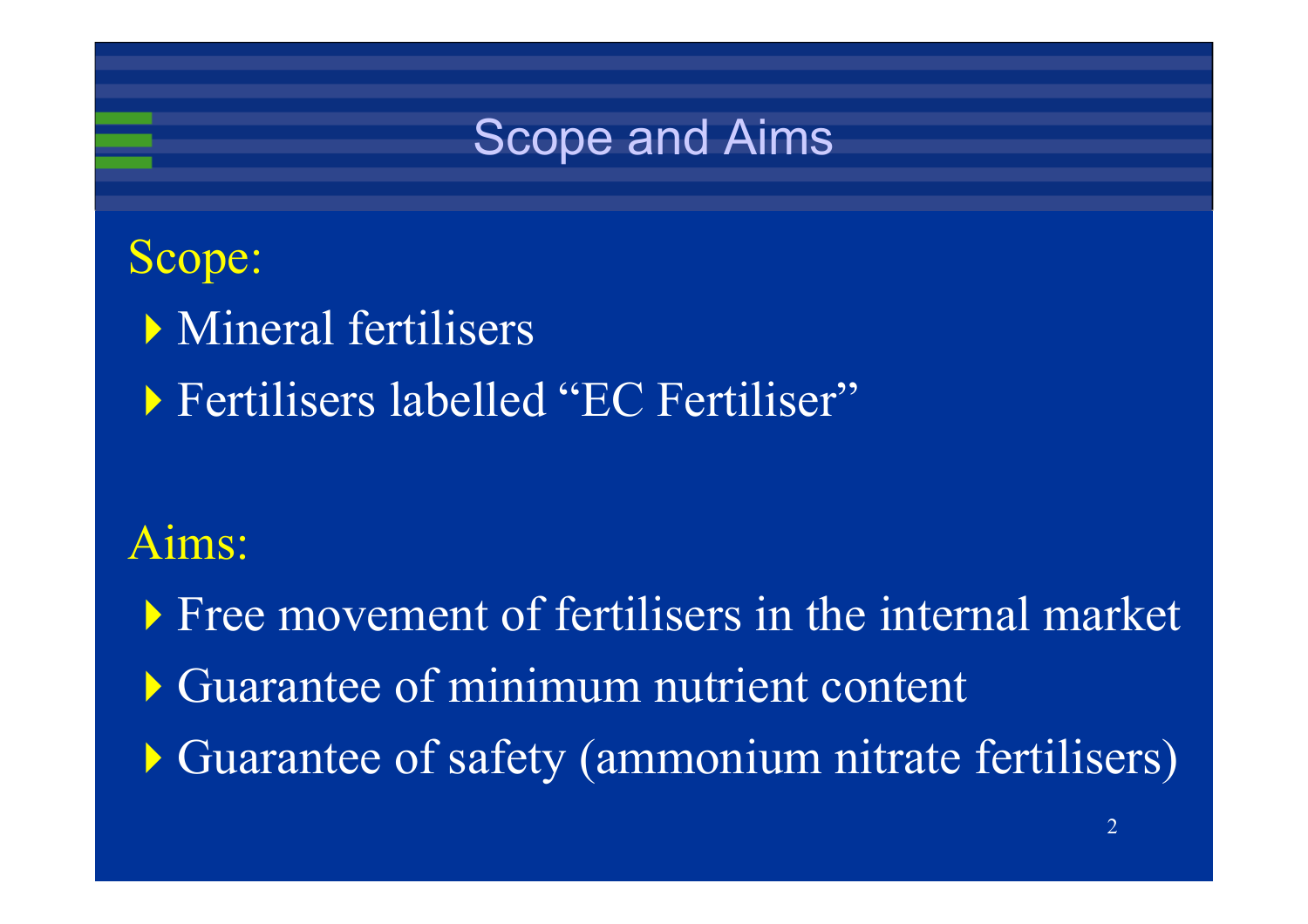

#### Scope:

- Mineral fertilisers
- Fertilisers labelled "EC Fertiliser"

#### Aims:

**Free movement of fertilisers in the internal market** Guarantee of minimum nutrient content Guarantee of safety (ammonium nitrate fertilisers)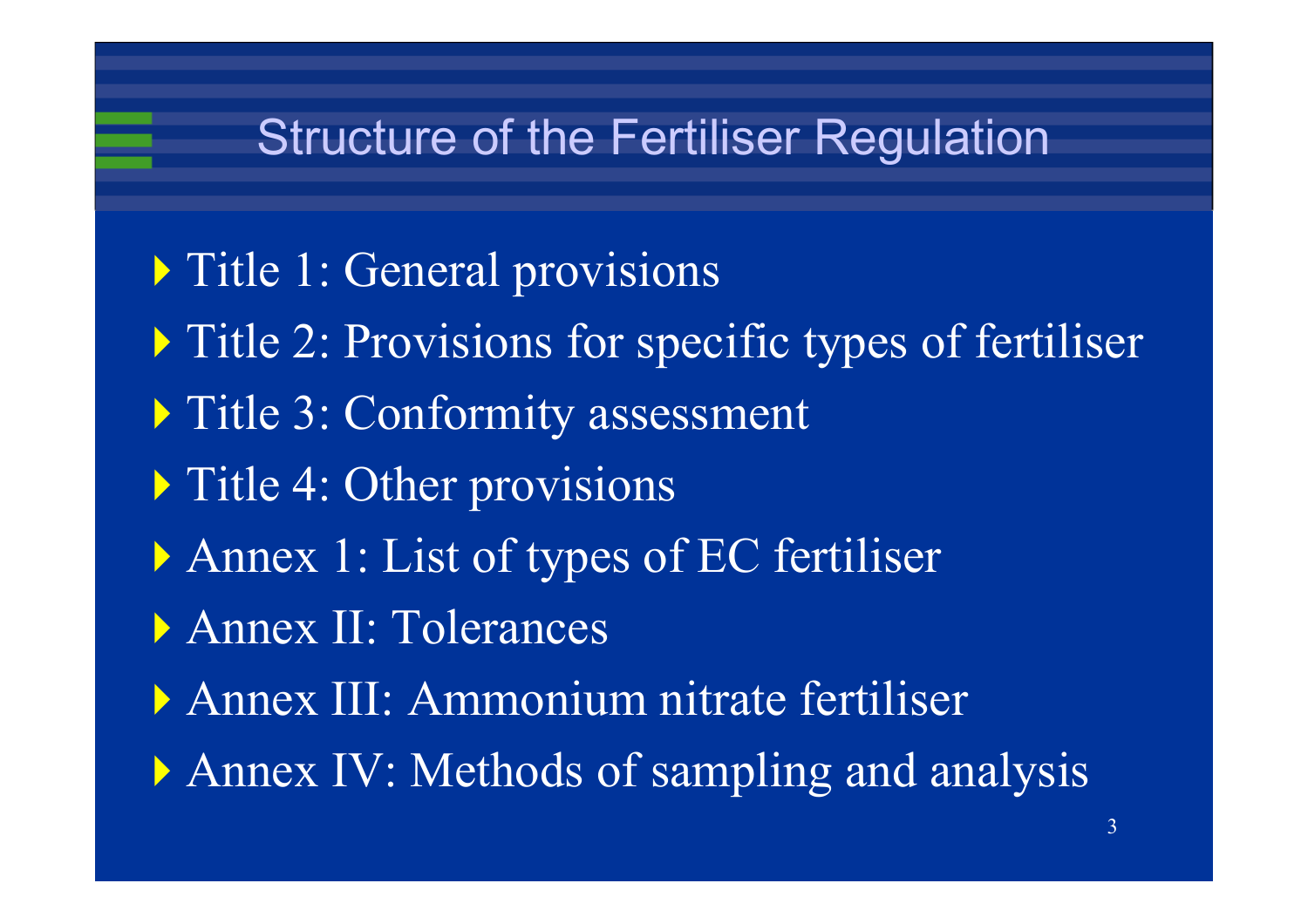### Structure of the Fertiliser Regulation

- **Title 1: General provisions**
- **Title 2: Provisions for specific types of fertiliser**
- Title 3: Conformity assessment
- **Title 4: Other provisions**
- Annex 1: List of types of EC fertiliser
- Annex II: Tolerances
- Annex III: Ammonium nitrate fertiliser
- Annex IV: Methods of sampling and analysis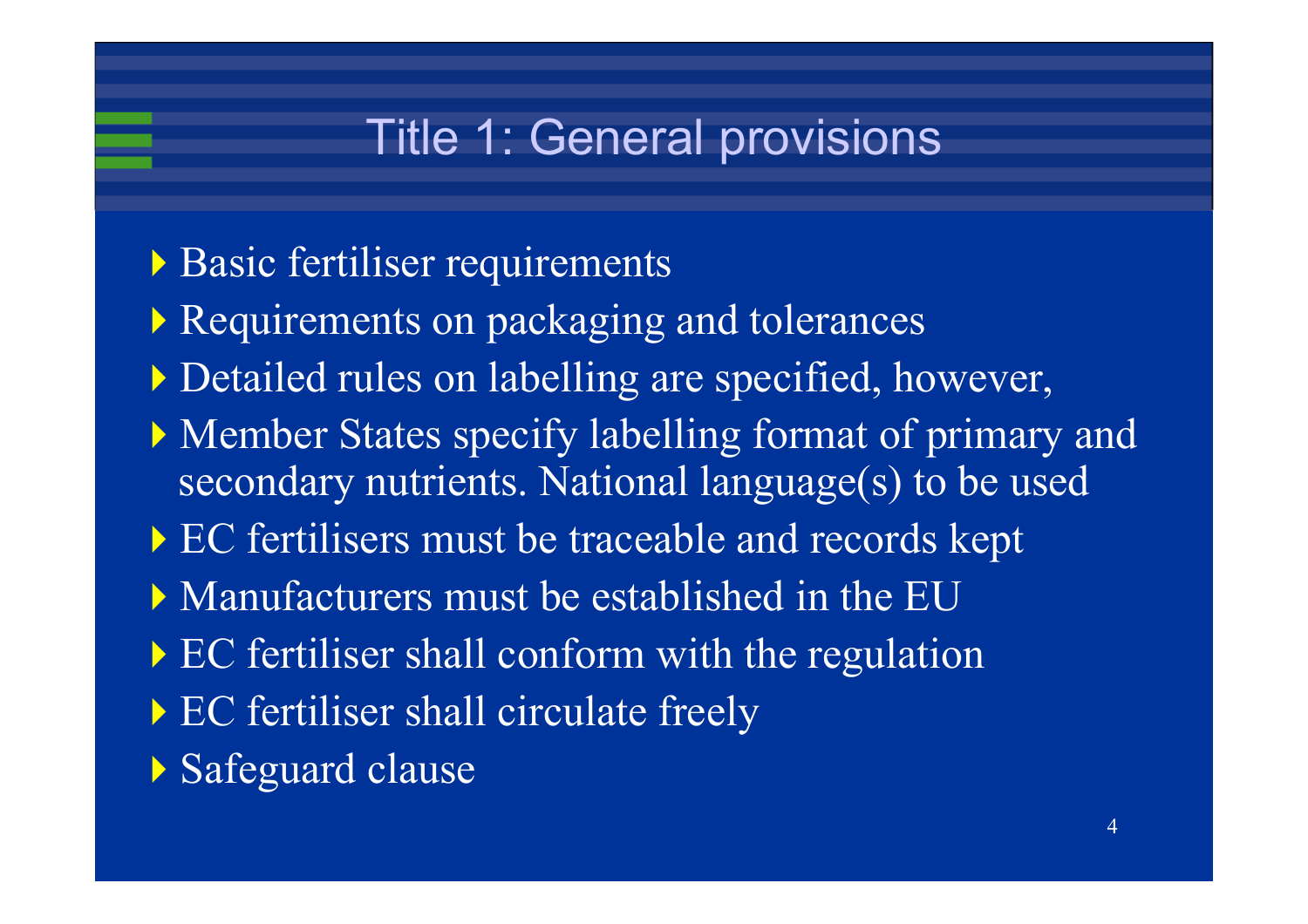# Title 1: General provisions

- Basic fertiliser requirements
- **Requirements on packaging and tolerances**
- Detailed rules on labelling are specified, however,
- Member States specify labelling format of primary and secondary nutrients. National language(s) to be used
- EC fertilisers must be traceable and records kept
- Manufacturers must be established in the EU
- EC fertiliser shall conform with the regulation
- EC fertiliser shall circulate freely
- Safeguard clause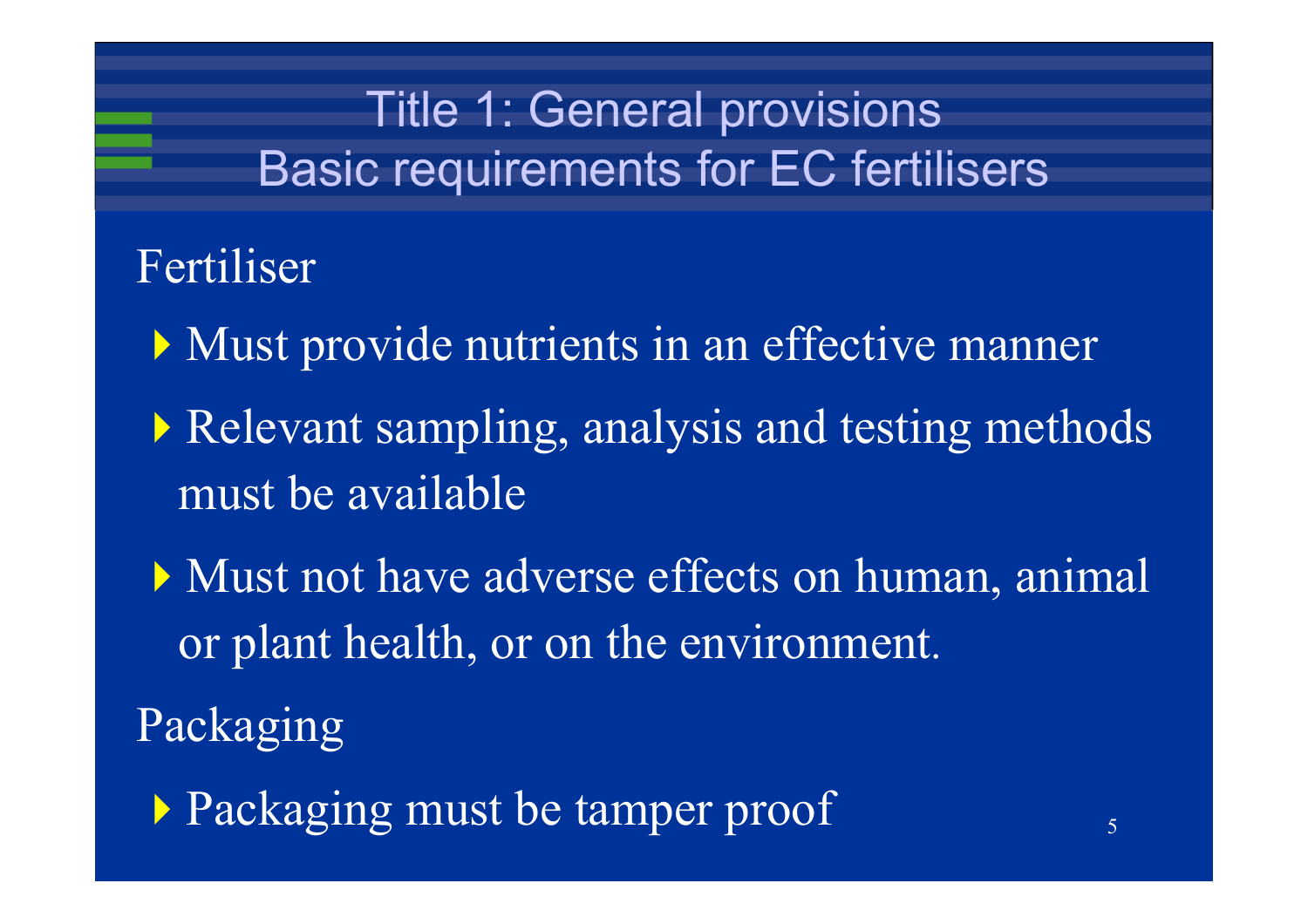# Title 1: General provisions Basic requirements for EC fertilisers

Fertiliser

- Must provide nutrients in an effective manner
- Relevant sampling, analysis and testing methods must be available
- Must not have adverse effects on human, animal or plant health, or on the environment.
- Packaging
	- Packaging must be tamper proof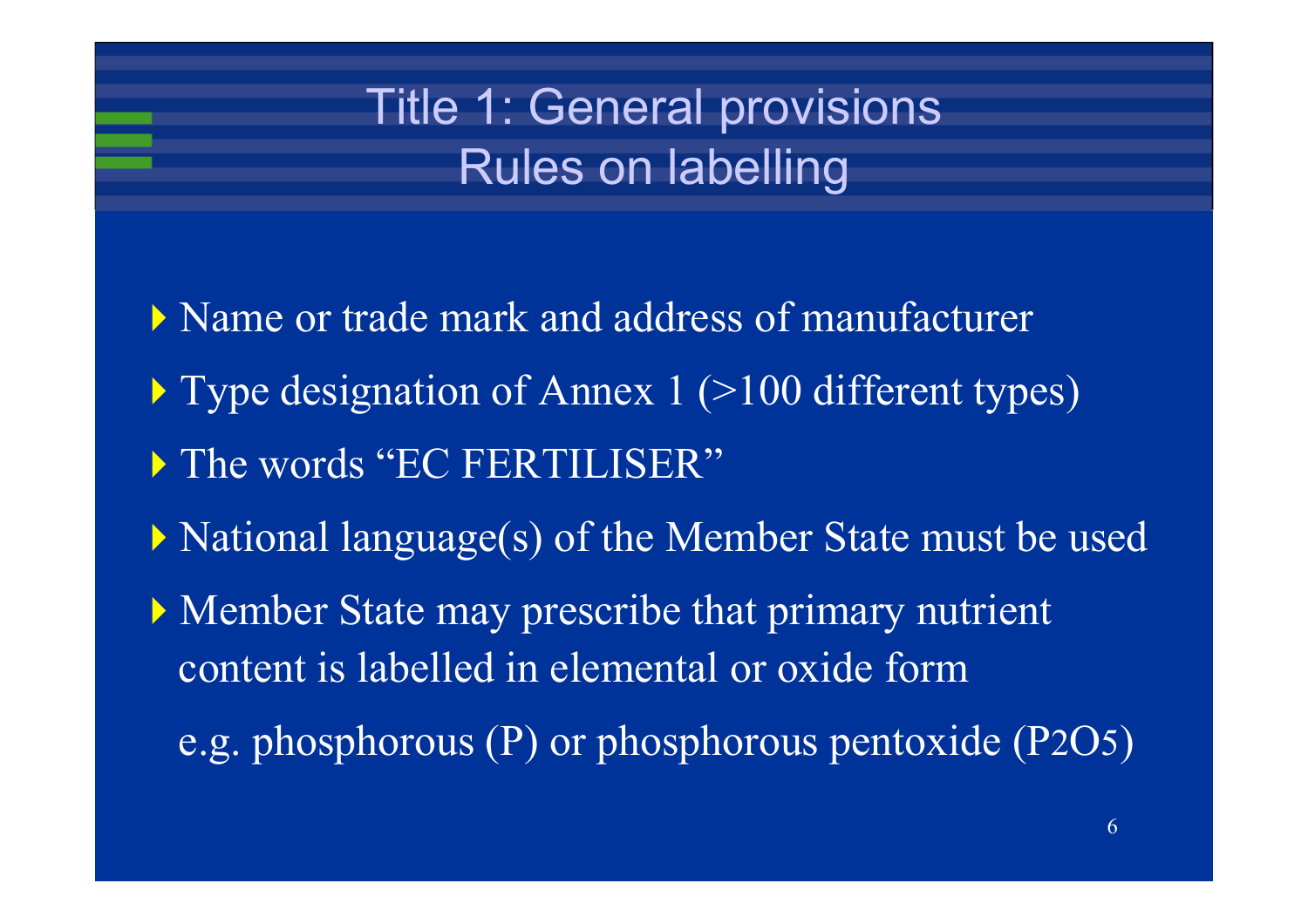# Title 1: General provisions Rules on labelling

- Name or trade mark and address of manufacturer
- ▶ Type designation of Annex 1 (>100 different types)
- The words "EC FERTILISER"
- National language(s) of the Member State must be used
- Member State may prescribe that primary nutrient content is labelled in elemental or oxide form
	- e.g. phosphorous (P) or phosphorous pentoxide (P 2 O 5 )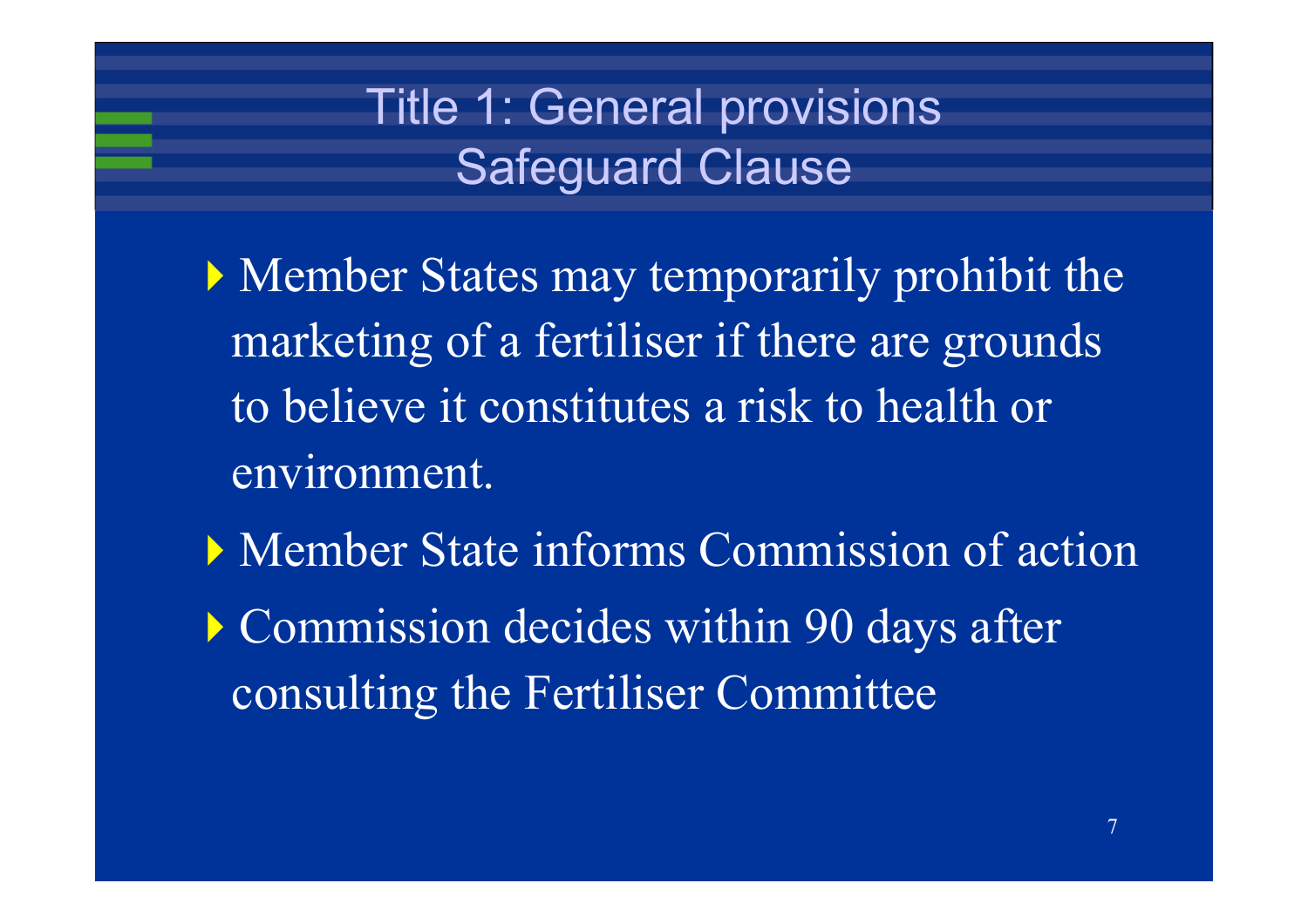# Title 1: General provisions Safeguard Clause

- Member States may temporarily prohibit the marketing of a fertiliser if there are grounds to believe it constitutes a risk to health or environment.
- Member State informs Commission of action **Commission decides within 90 days after** consulting the Fertiliser Committee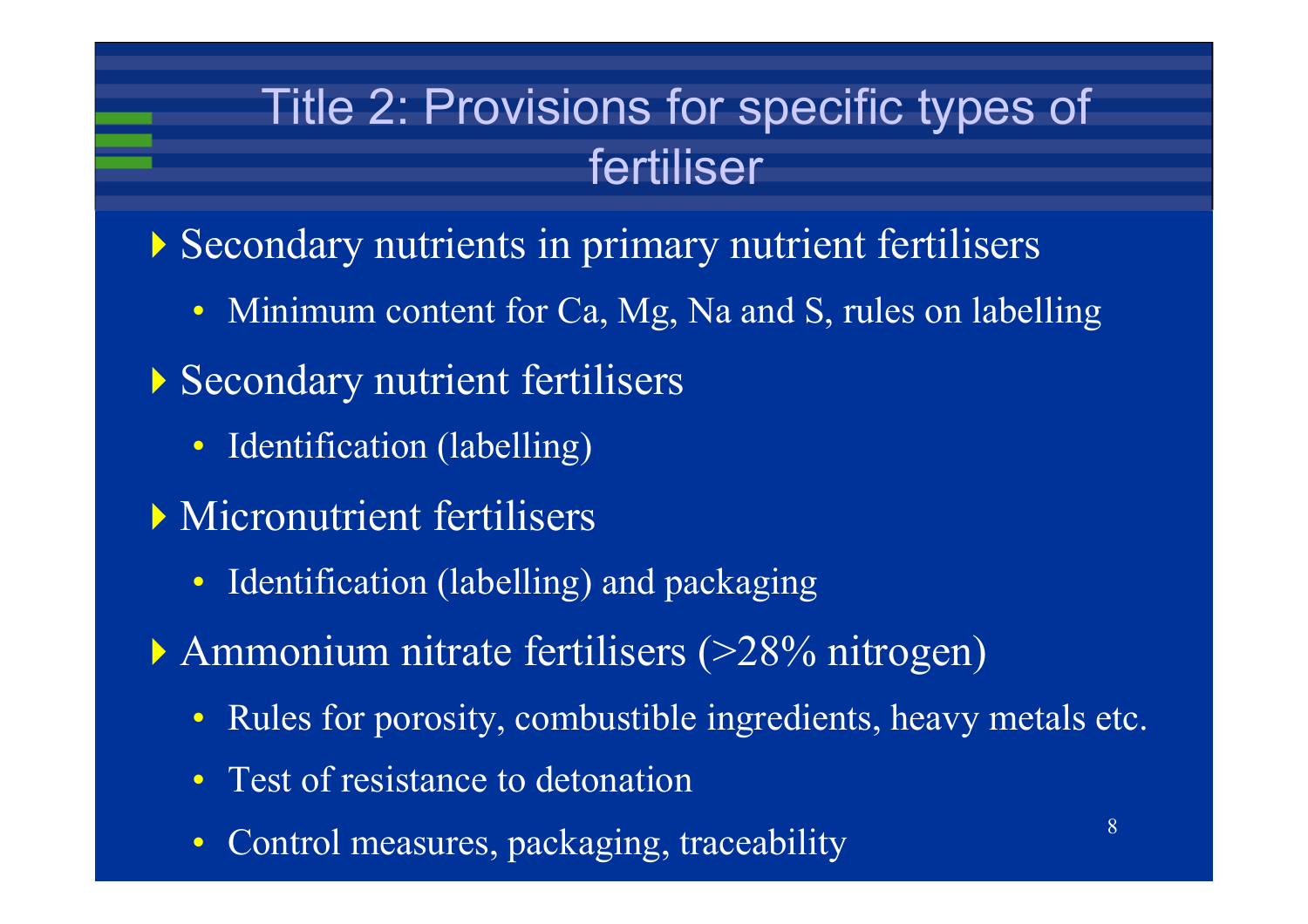# Title 2: Provisions for specific types of fertiliser

Secondary nutrients in primary nutrient fertilisers

- Minimum content for Ca, Mg, Na and S, rules on labelling
- Secondary nutrient fertilisers
	- Identification (labelling)
- Micronutrient fertilisers
	- Identification (labelling) and packaging

Ammonium nitrate fertilisers (>28% nitrogen)

- Rules for porosity, combustible ingredients, heavy metals etc.
- Test of resistance to detonation
- Control measures, packaging, traceability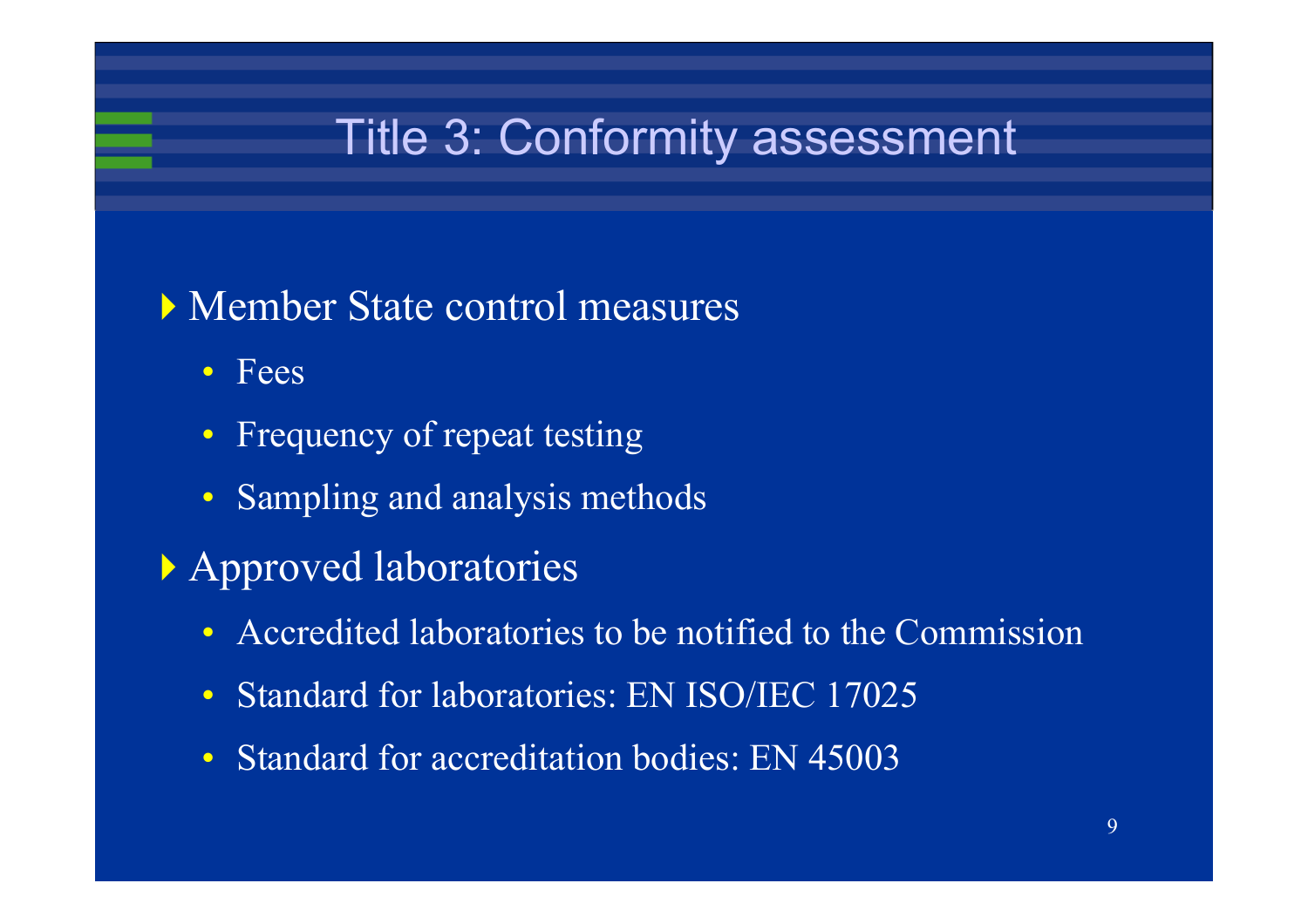## Title 3: Conformity assessment

- Member State control measures
	- Fees
	- $\bullet$ Frequency of repeat testing
	- Sampling and analysis methods
- Approved laboratories
	- Accredited laboratories to be notified to the Commission
	- $\bullet$ Standard for laboratories: EN ISO/IEC 17025
	- $\bullet$ Standard for accreditation bodies: EN 45003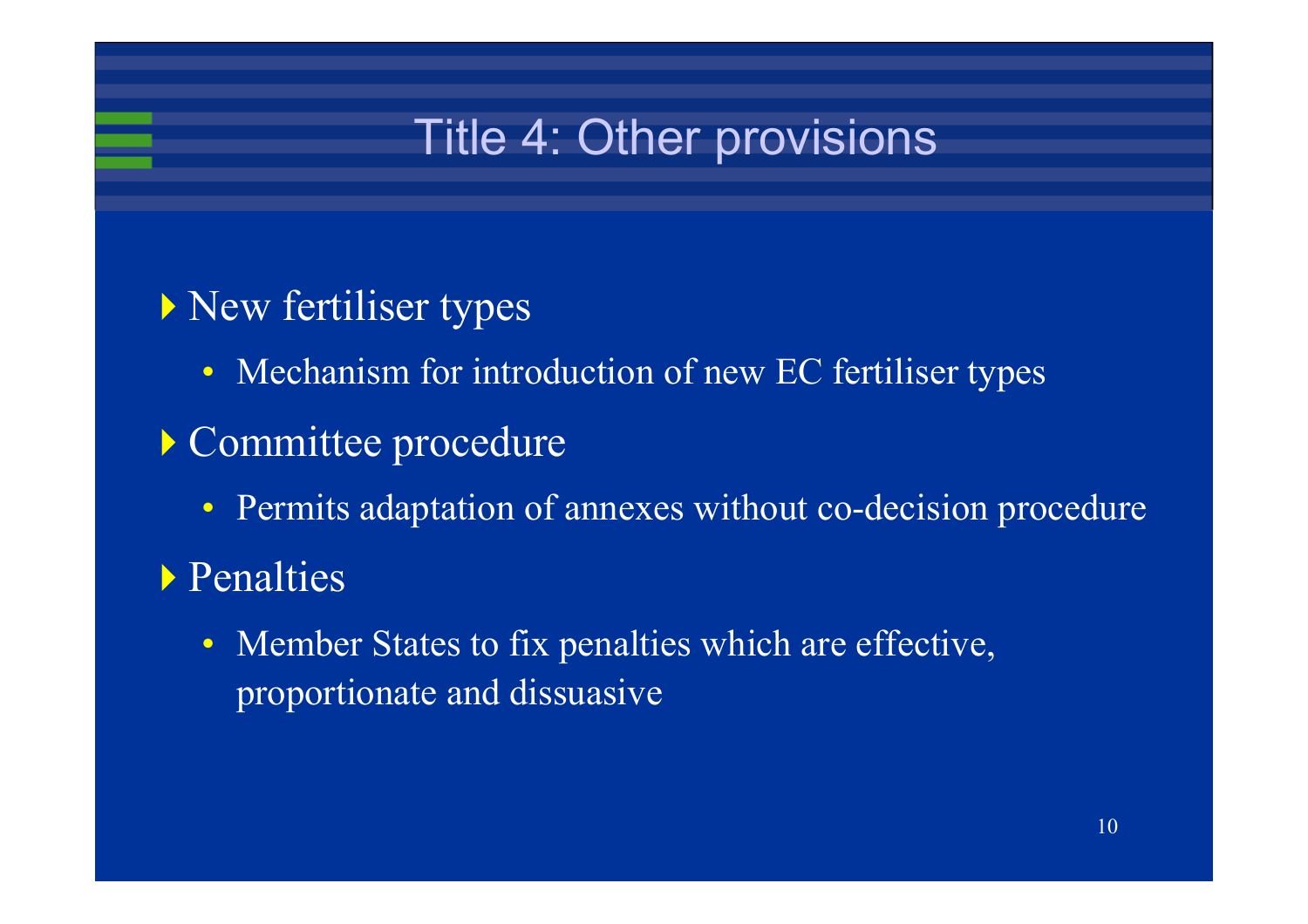# Title 4: Other provisions

- New fertiliser types
	- Mechanism for introduction of new EC fertiliser types
- Committee procedure
	- Permits adaptation of annexes without co-decision procedure
- Penalties
	- $\bullet$  Member States to fix penalties which are effective, proportionate and dissuasive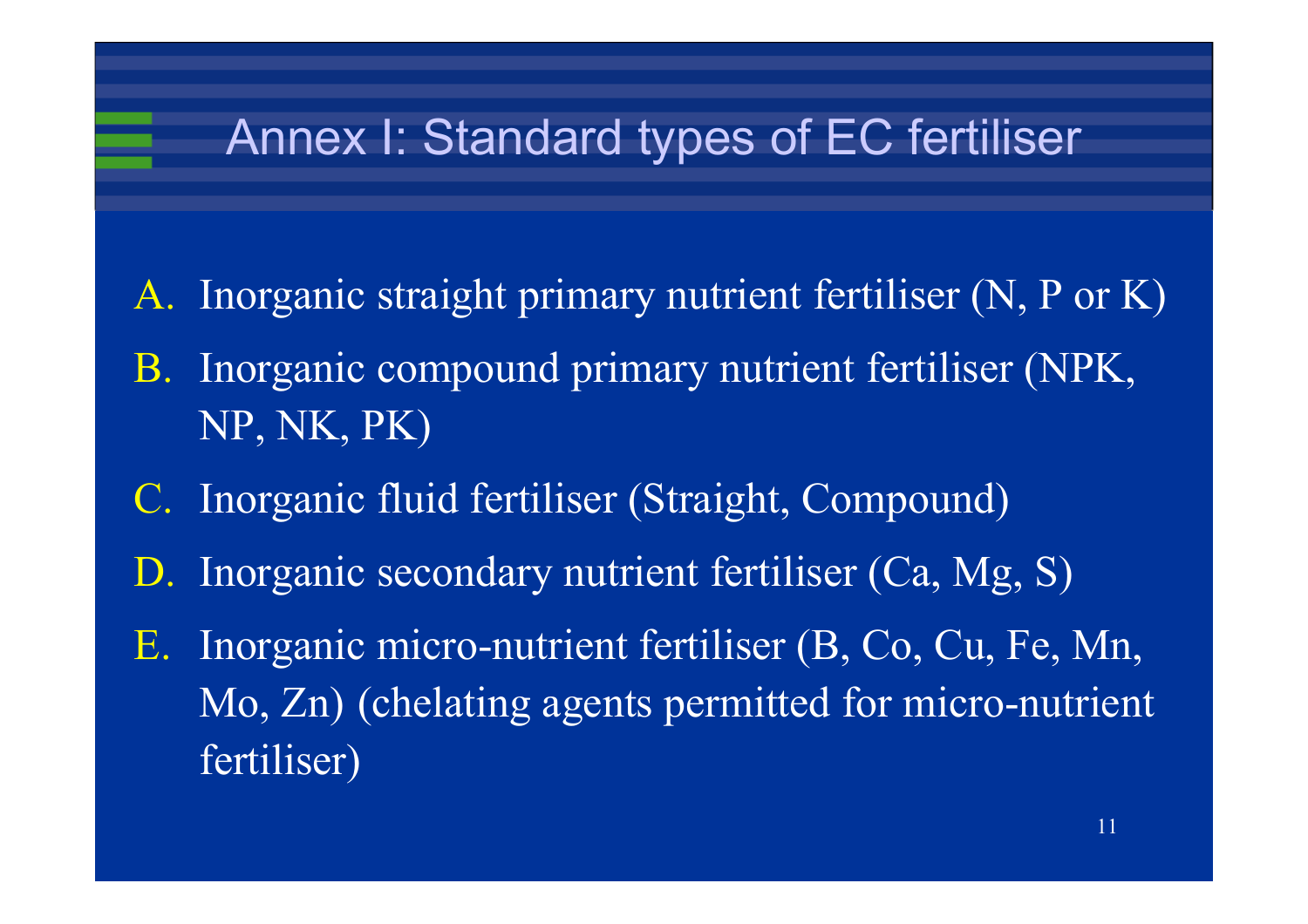# Annex I: Standard types of EC fertiliser

- A. Inorganic straight primary nutrient fertiliser (N, P or K)
- B. Inorganic compound primary nutrient fertiliser (NPK, NP, NK, PK)
- C. Inorganic fluid fertiliser (Straight, Compound)
- D. Inorganic secondary nutrient fertiliser (Ca, Mg, S)
- E. Inorganic micro-nutrient fertiliser (B, Co, Cu, Fe, Mn, Mo, Zn) (chelating agents permitted for micro-nutrient fertiliser)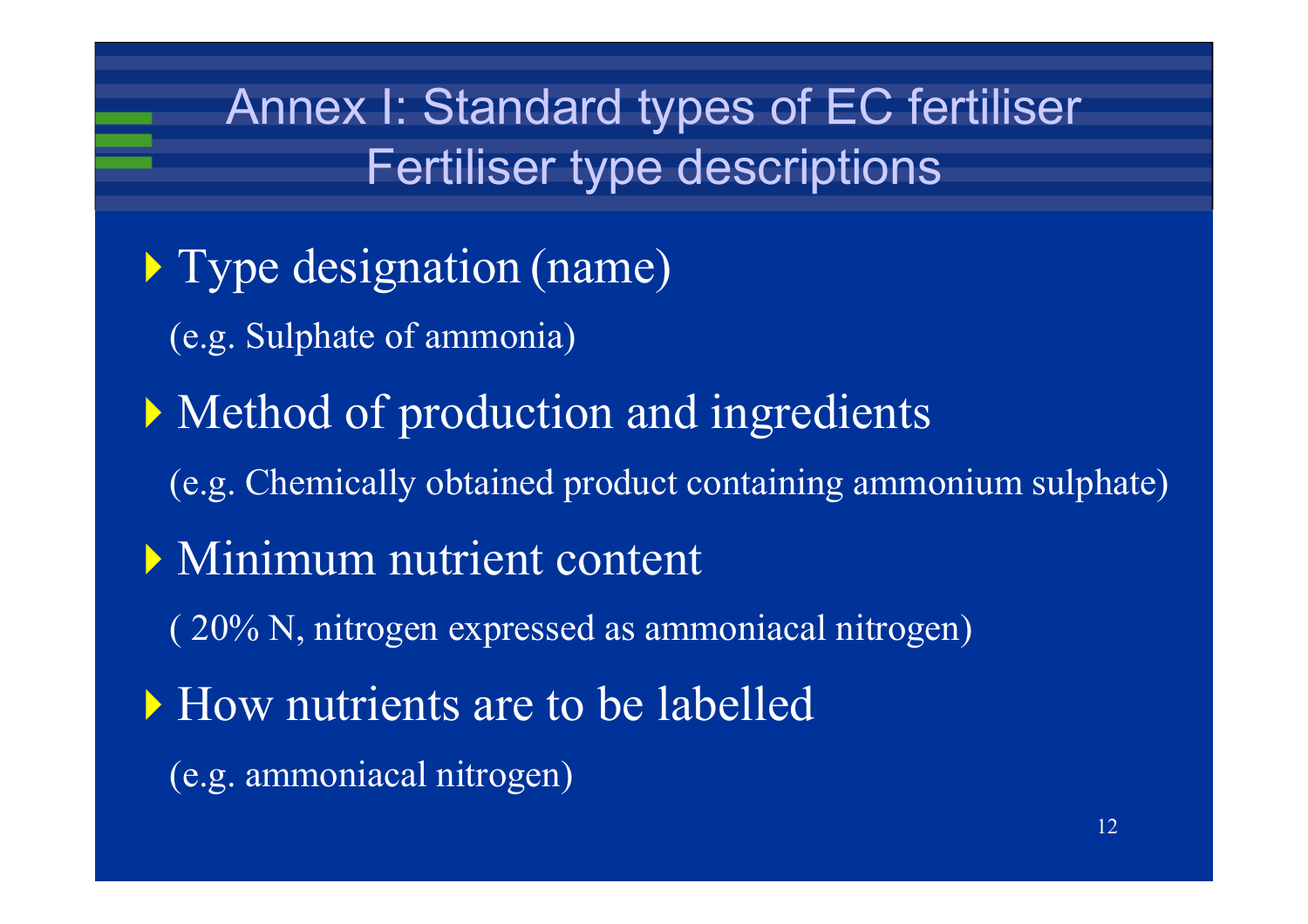# Annex I: Standard types of EC fertiliser Fertiliser type descriptions

- Type designation (name)
	- (e.g. Sulphate of ammonia)
- Method of production and ingredients
	- (e.g. Chemically obtained product containing ammonium sulphate)
- **Minimum nutrient content** 
	- ( 20% N, nitrogen expressed as ammoniacal nitrogen)
- How nutrients are to be labelled
	- (e.g. ammoniacal nitrogen)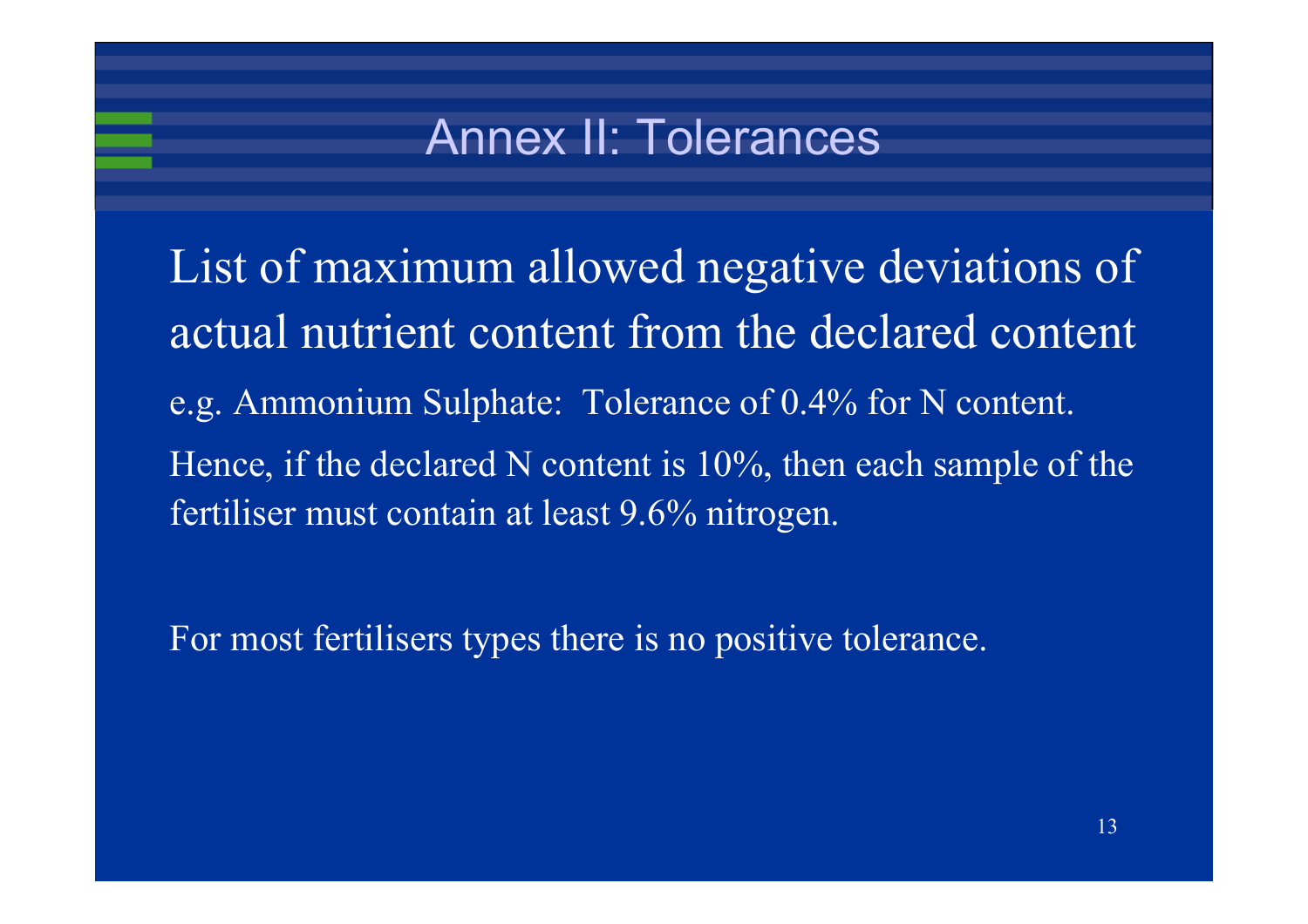### Annex II: Tolerances

List of maximum allowed negative deviations of actual nutrient content from the declared content e.g. Ammonium Sulphate: Tolerance of 0.4% for N content. Hence, if the declared N content is 10%, then each sample of the fertiliser must contain at least 9.6% nitrogen.

For most fertilisers types there is no positive tolerance.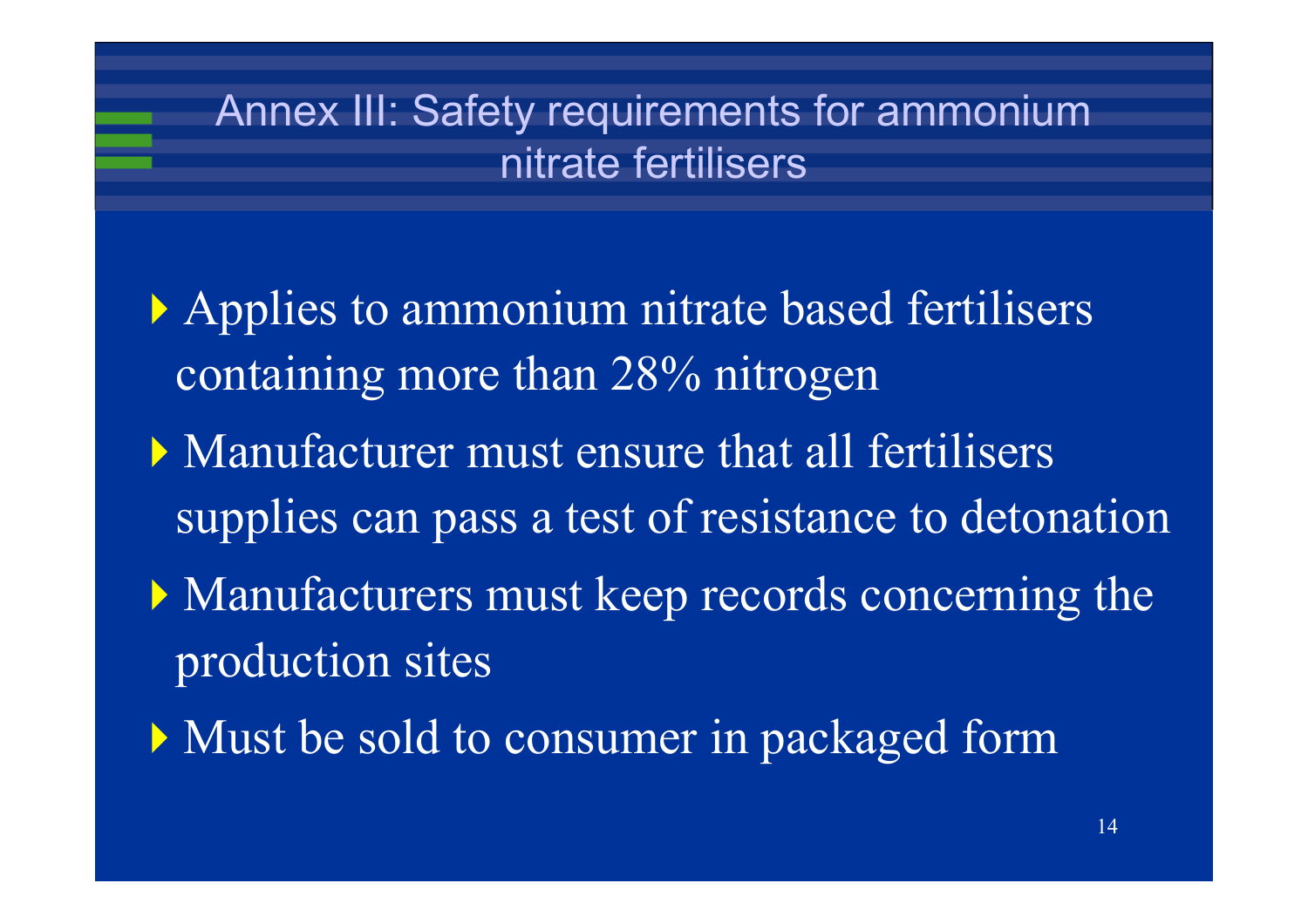#### Annex III: Safety requirements for ammonium nitrate fertilisers

- Applies to ammonium nitrate based fertilisers containing more than 28% nitrogen
- Manufacturer must ensure that all fertilisers supplies can pass a test of resistance to detonation
- Manufacturers must keep records concerning the production sites
- Must be sold to consumer in packaged form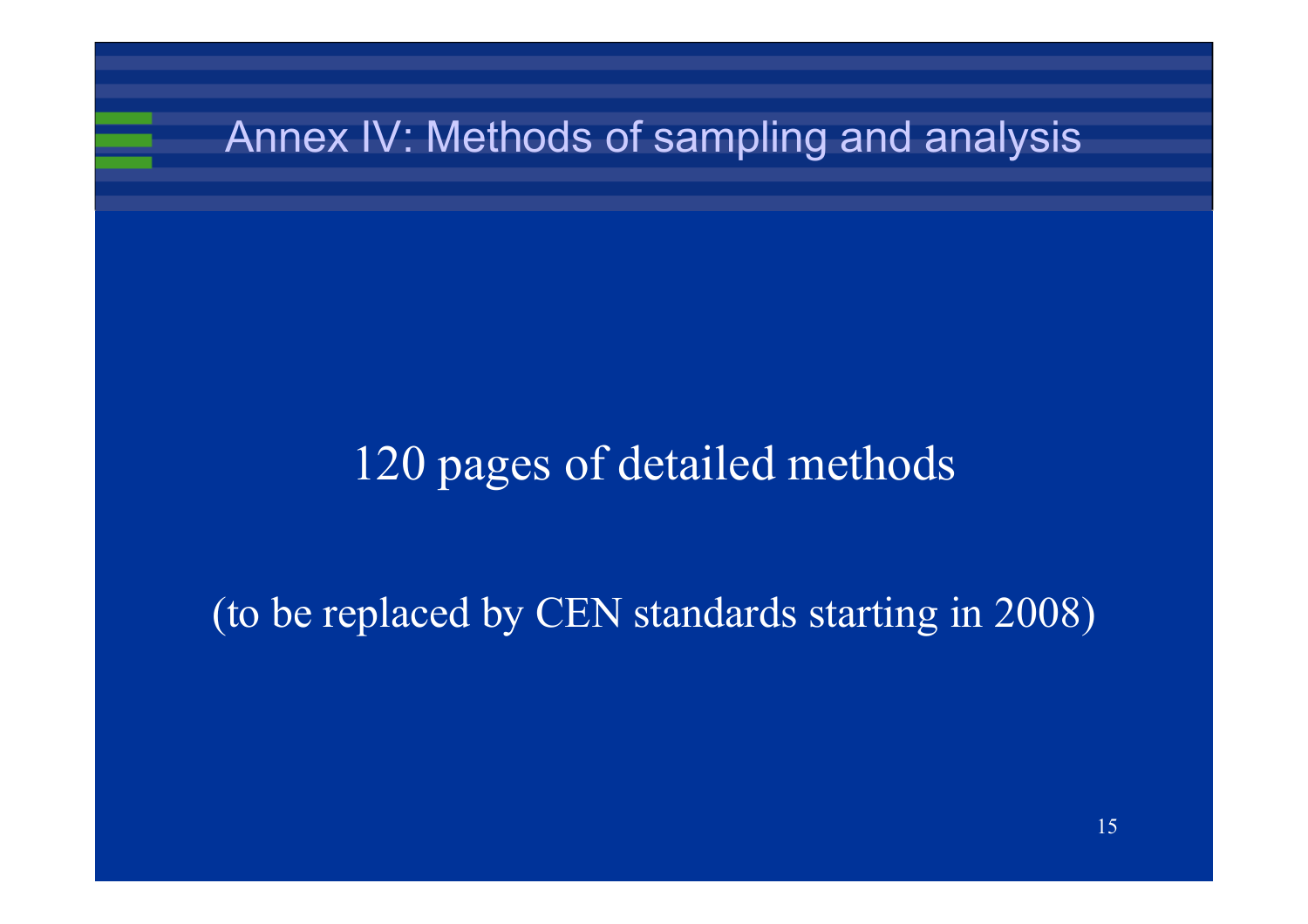#### Annex IV: Methods of sampling and analysis

#### 120 pages of detailed methods

#### (to be replaced by CEN standards starting in 2008)